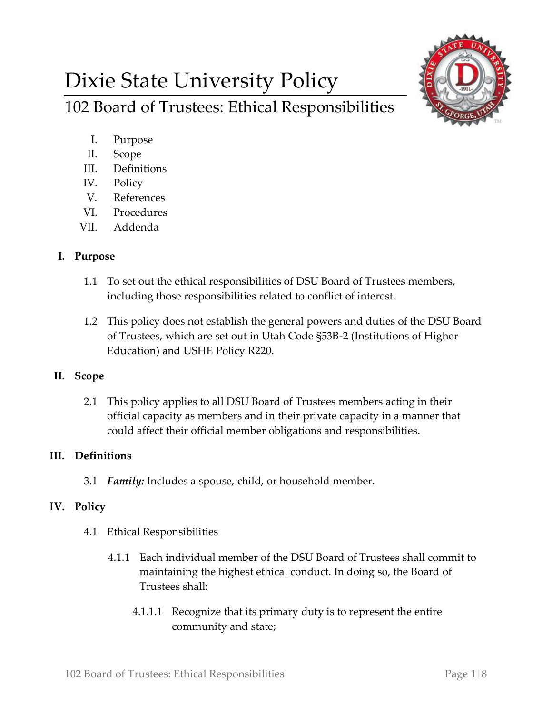# Dixie State University Policy





- I. Purpose
- II. Scope
- III. Definitions
- IV. Policy
- V. References
- VI. Procedures
- VII. Addenda

#### **I. Purpose**

- 1.1 To set out the ethical responsibilities of DSU Board of Trustees members, including those responsibilities related to conflict of interest.
- 1.2 This policy does not establish the general powers and duties of the DSU Board of Trustees, which are set out in Utah Code §53B-2 (Institutions of Higher Education) and USHE Policy R220.

## **II. Scope**

2.1 This policy applies to all DSU Board of Trustees members acting in their official capacity as members and in their private capacity in a manner that could affect their official member obligations and responsibilities.

## **III. Definitions**

3.1 *Family:* Includes a spouse, child, or household member.

## **IV. Policy**

- 4.1 Ethical Responsibilities
	- 4.1.1 Each individual member of the DSU Board of Trustees shall commit to maintaining the highest ethical conduct. In doing so, the Board of Trustees shall:
		- 4.1.1.1 Recognize that its primary duty is to represent the entire community and state;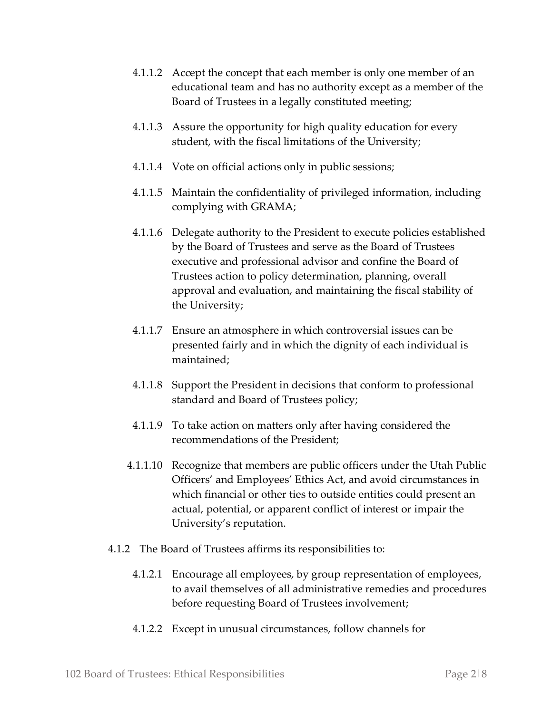- 4.1.1.2 Accept the concept that each member is only one member of an educational team and has no authority except as a member of the Board of Trustees in a legally constituted meeting;
- 4.1.1.3 Assure the opportunity for high quality education for every student, with the fiscal limitations of the University;
- 4.1.1.4 Vote on official actions only in public sessions;
- 4.1.1.5 Maintain the confidentiality of privileged information, including complying with GRAMA;
- 4.1.1.6 Delegate authority to the President to execute policies established by the Board of Trustees and serve as the Board of Trustees executive and professional advisor and confine the Board of Trustees action to policy determination, planning, overall approval and evaluation, and maintaining the fiscal stability of the University;
- 4.1.1.7 Ensure an atmosphere in which controversial issues can be presented fairly and in which the dignity of each individual is maintained;
- 4.1.1.8 Support the President in decisions that conform to professional standard and Board of Trustees policy;
- 4.1.1.9 To take action on matters only after having considered the recommendations of the President;
- 4.1.1.10 Recognize that members are public officers under the Utah Public Officers' and Employees' Ethics Act, and avoid circumstances in which financial or other ties to outside entities could present an actual, potential, or apparent conflict of interest or impair the University's reputation.
- 4.1.2 The Board of Trustees affirms its responsibilities to:
	- 4.1.2.1 Encourage all employees, by group representation of employees, to avail themselves of all administrative remedies and procedures before requesting Board of Trustees involvement;
	- 4.1.2.2 Except in unusual circumstances, follow channels for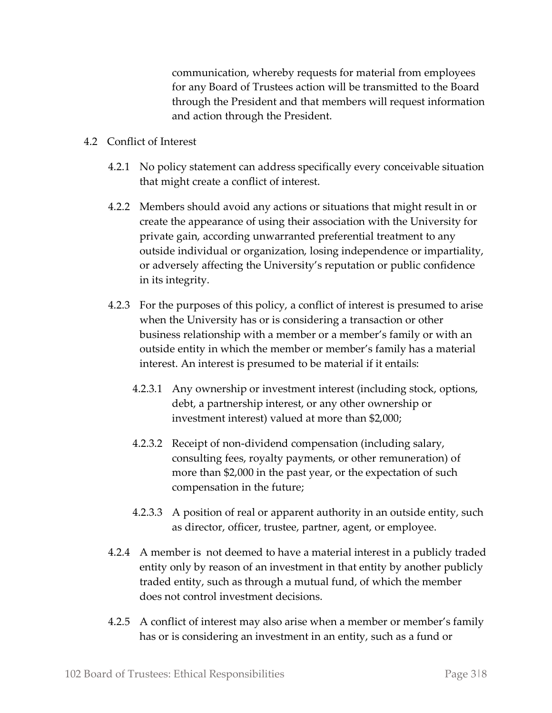communication, whereby requests for material from employees for any Board of Trustees action will be transmitted to the Board through the President and that members will request information and action through the President.

- 4.2 Conflict of Interest
	- 4.2.1 No policy statement can address specifically every conceivable situation that might create a conflict of interest.
	- 4.2.2 Members should avoid any actions or situations that might result in or create the appearance of using their association with the University for private gain, according unwarranted preferential treatment to any outside individual or organization, losing independence or impartiality, or adversely affecting the University's reputation or public confidence in its integrity.
	- 4.2.3 For the purposes of this policy, a conflict of interest is presumed to arise when the University has or is considering a transaction or other business relationship with a member or a member's family or with an outside entity in which the member or member's family has a material interest. An interest is presumed to be material if it entails:
		- 4.2.3.1 Any ownership or investment interest (including stock, options, debt, a partnership interest, or any other ownership or investment interest) valued at more than \$2,000;
		- 4.2.3.2 Receipt of non-dividend compensation (including salary, consulting fees, royalty payments, or other remuneration) of more than \$2,000 in the past year, or the expectation of such compensation in the future;
		- 4.2.3.3 A position of real or apparent authority in an outside entity, such as director, officer, trustee, partner, agent, or employee.
	- 4.2.4 A member is not deemed to have a material interest in a publicly traded entity only by reason of an investment in that entity by another publicly traded entity, such as through a mutual fund, of which the member does not control investment decisions.
	- 4.2.5 A conflict of interest may also arise when a member or member's family has or is considering an investment in an entity, such as a fund or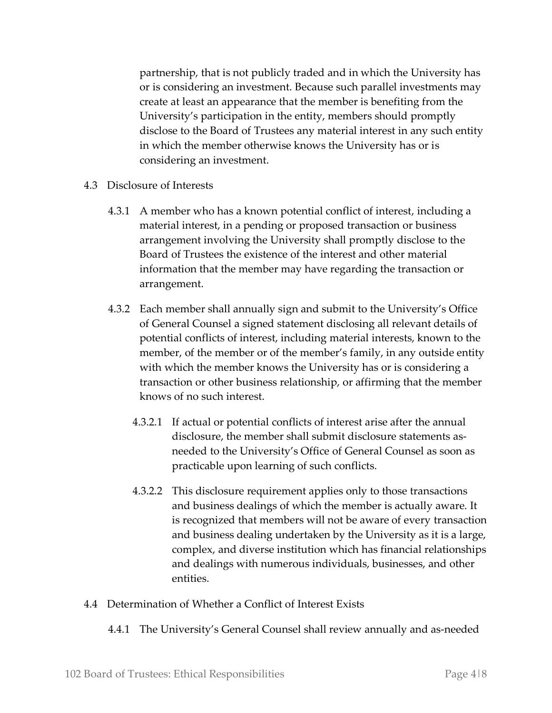partnership, that is not publicly traded and in which the University has or is considering an investment. Because such parallel investments may create at least an appearance that the member is benefiting from the University's participation in the entity, members should promptly disclose to the Board of Trustees any material interest in any such entity in which the member otherwise knows the University has or is considering an investment.

- 4.3 Disclosure of Interests
	- 4.3.1 A member who has a known potential conflict of interest, including a material interest, in a pending or proposed transaction or business arrangement involving the University shall promptly disclose to the Board of Trustees the existence of the interest and other material information that the member may have regarding the transaction or arrangement.
	- 4.3.2 Each member shall annually sign and submit to the University's Office of General Counsel a signed statement disclosing all relevant details of potential conflicts of interest, including material interests, known to the member, of the member or of the member's family, in any outside entity with which the member knows the University has or is considering a transaction or other business relationship, or affirming that the member knows of no such interest.
		- 4.3.2.1 If actual or potential conflicts of interest arise after the annual disclosure, the member shall submit disclosure statements asneeded to the University's Office of General Counsel as soon as practicable upon learning of such conflicts.
		- 4.3.2.2 This disclosure requirement applies only to those transactions and business dealings of which the member is actually aware. It is recognized that members will not be aware of every transaction and business dealing undertaken by the University as it is a large, complex, and diverse institution which has financial relationships and dealings with numerous individuals, businesses, and other entities.
- 4.4 Determination of Whether a Conflict of Interest Exists
	- 4.4.1 The University's General Counsel shall review annually and as-needed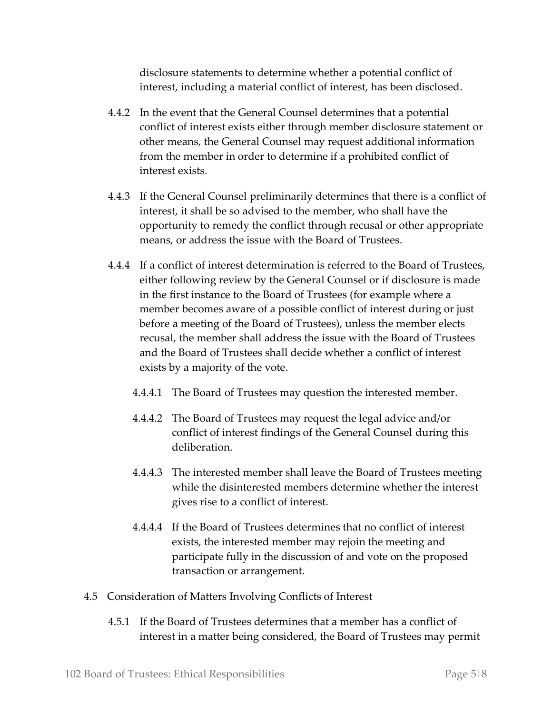disclosure statements to determine whether a potential conflict of interest, including a material conflict of interest, has been disclosed.

- 4.4.2 In the event that the General Counsel determines that a potential conflict of interest exists either through member disclosure statement or other means, the General Counsel may request additional information from the member in order to determine if a prohibited conflict of interest exists.
- 4.4.3 If the General Counsel preliminarily determines that there is a conflict of interest, it shall be so advised to the member, who shall have the opportunity to remedy the conflict through recusal or other appropriate means, or address the issue with the Board of Trustees.
- 4.4.4 If a conflict of interest determination is referred to the Board of Trustees, either following review by the General Counsel or if disclosure is made in the first instance to the Board of Trustees (for example where a member becomes aware of a possible conflict of interest during or just before a meeting of the Board of Trustees), unless the member elects recusal, the member shall address the issue with the Board of Trustees and the Board of Trustees shall decide whether a conflict of interest exists by a majority of the vote.
	- 4.4.4.1 The Board of Trustees may question the interested member.
	- 4.4.4.2 The Board of Trustees may request the legal advice and/or conflict of interest findings of the General Counsel during this deliberation.
	- 4.4.4.3 The interested member shall leave the Board of Trustees meeting while the disinterested members determine whether the interest gives rise to a conflict of interest.
	- 4.4.4.4 If the Board of Trustees determines that no conflict of interest exists, the interested member may rejoin the meeting and participate fully in the discussion of and vote on the proposed transaction or arrangement.
- 4.5 Consideration of Matters Involving Conflicts of Interest
	- 4.5.1 If the Board of Trustees determines that a member has a conflict of interest in a matter being considered, the Board of Trustees may permit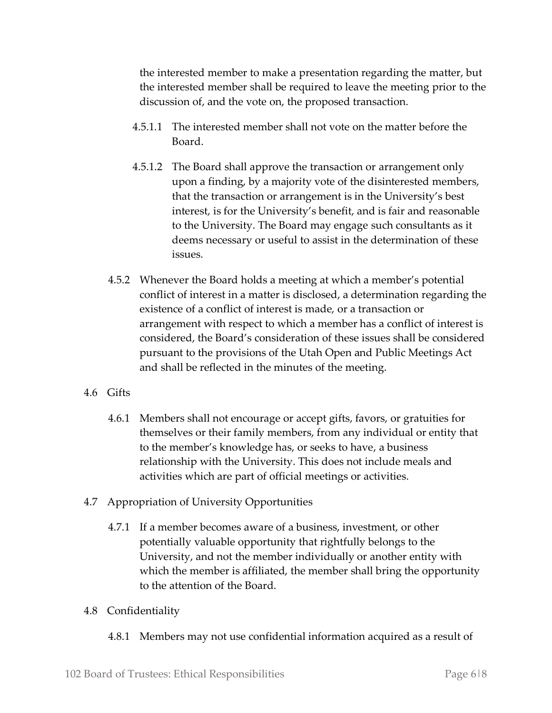the interested member to make a presentation regarding the matter, but the interested member shall be required to leave the meeting prior to the discussion of, and the vote on, the proposed transaction.

- 4.5.1.1 The interested member shall not vote on the matter before the Board.
- 4.5.1.2 The Board shall approve the transaction or arrangement only upon a finding, by a majority vote of the disinterested members, that the transaction or arrangement is in the University's best interest, is for the University's benefit, and is fair and reasonable to the University. The Board may engage such consultants as it deems necessary or useful to assist in the determination of these issues.
- 4.5.2 Whenever the Board holds a meeting at which a member's potential conflict of interest in a matter is disclosed, a determination regarding the existence of a conflict of interest is made, or a transaction or arrangement with respect to which a member has a conflict of interest is considered, the Board's consideration of these issues shall be considered pursuant to the provisions of the Utah Open and Public Meetings Act and shall be reflected in the minutes of the meeting.
- 4.6 Gifts
	- 4.6.1 Members shall not encourage or accept gifts, favors, or gratuities for themselves or their family members, from any individual or entity that to the member's knowledge has, or seeks to have, a business relationship with the University. This does not include meals and activities which are part of official meetings or activities.
- 4.7 Appropriation of University Opportunities
	- 4.7.1 If a member becomes aware of a business, investment, or other potentially valuable opportunity that rightfully belongs to the University, and not the member individually or another entity with which the member is affiliated, the member shall bring the opportunity to the attention of the Board.
- 4.8 Confidentiality
	- 4.8.1 Members may not use confidential information acquired as a result of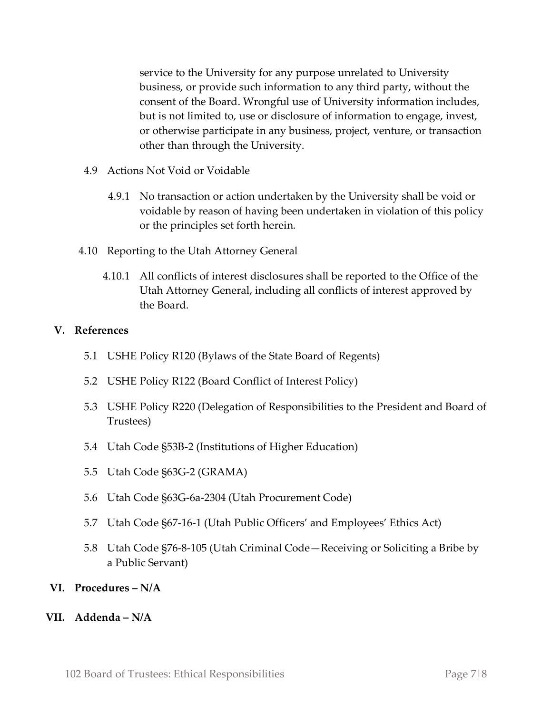service to the University for any purpose unrelated to University business, or provide such information to any third party, without the consent of the Board. Wrongful use of University information includes, but is not limited to, use or disclosure of information to engage, invest, or otherwise participate in any business, project, venture, or transaction other than through the University.

- 4.9 Actions Not Void or Voidable
	- 4.9.1 No transaction or action undertaken by the University shall be void or voidable by reason of having been undertaken in violation of this policy or the principles set forth herein.
- 4.10 Reporting to the Utah Attorney General
	- 4.10.1 All conflicts of interest disclosures shall be reported to the Office of the Utah Attorney General, including all conflicts of interest approved by the Board.

#### **V. References**

- 5.1 USHE Policy R120 (Bylaws of the State Board of Regents)
- 5.2 USHE Policy R122 (Board Conflict of Interest Policy)
- 5.3 USHE Policy R220 (Delegation of Responsibilities to the President and Board of Trustees)
- 5.4 Utah Code §53B-2 (Institutions of Higher Education)
- 5.5 Utah Code §63G-2 (GRAMA)
- 5.6 Utah Code §63G-6a-2304 (Utah Procurement Code)
- 5.7 Utah Code §67-16-1 (Utah Public Officers' and Employees' Ethics Act)
- 5.8 Utah Code §76-8-105 (Utah Criminal Code—Receiving or Soliciting a Bribe by a Public Servant)
- **VI. Procedures – N/A**
- **VII. Addenda – N/A**